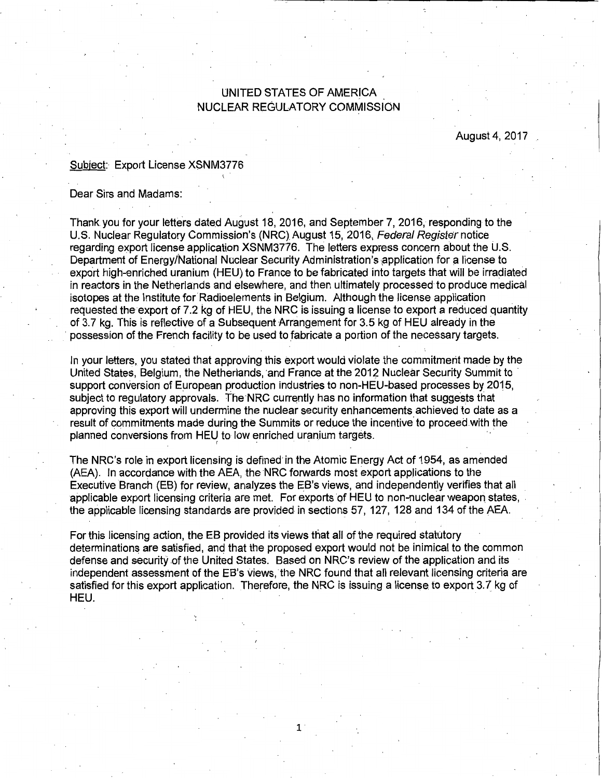## UNITED STATES OF AMERICA NUCLEAR REGULATORY COMMISSION

August 4, 2017

## Subject: Export License XSNM3776

## Dear Sirs and Madams:

Thank you for your letters dated August 18, 2016, and September 7, 2016, responding to the U.S. Nuclear Regulatory Commission's (NRG). August 15, 2016, Federal Register notice regarding export license application XSNM3776. The letters express concern about the U.S. Department of Energy/National Nuclear Security Administration's application for a license to export high-enriched uranium (HEU) to France to be fabricated into targets that will be irradiated in reactors in the Netherlands and elsewhere, and then ultimately processed to produce medical isotopes at the Institute for Radioelements in Belgium. Although the license application requested the export of 7.2 kg of HEU, the NRG is issuing a license to export a reduced quantity of 3.7 kg. This is reflective of a Subsequent Arrangement for 3.5 kg of HEU already in the possession of the French facility to be used to fabricate a portion of the necessary targets.

In your letters, you stated that approving this export would violate the commitment made by the United States, Belgium, the Netherlands, and France at the 2012 Nuclear Security Summit to support conversion of European production industries to non-HEU-based processes by 2015, subject to regulatory approvals. The NRG currently has no information that suggests that approving this export will undermine the nuclear security enhancements achieved to date as a result of commitments made during the Summits or reduce the incentive to proceed with the planned conversions from HEU to low enriched uranium targets.

The NRC's role in export licensing is defined· in the Atomic Energy Act of 1954, as amended (AEA). In accordance with the AEA, the NRG forwards most export applications to the Executive Branch (EB) for review, analyzes the EB's views, and independently verifies that all applicable export licensing criteria are met. For exports of HEU to non-nuclear weapon states, the applicable licensing standards are provided in sections 57, 127, 128 and 134 of the AEA.

For this licensing action, the EB provided its views that all of the required statutory determinations are satisfied, and that the proposed export would not be inimical to the common defense and security of the United States. Based on NRC's review of the application and its independent assessment of the EB's views, the NRC found that all relevant licensing criteria are satisfied for this export application. Therefore, the NRC is issuing a license to export 3.7 kg of HEU.

1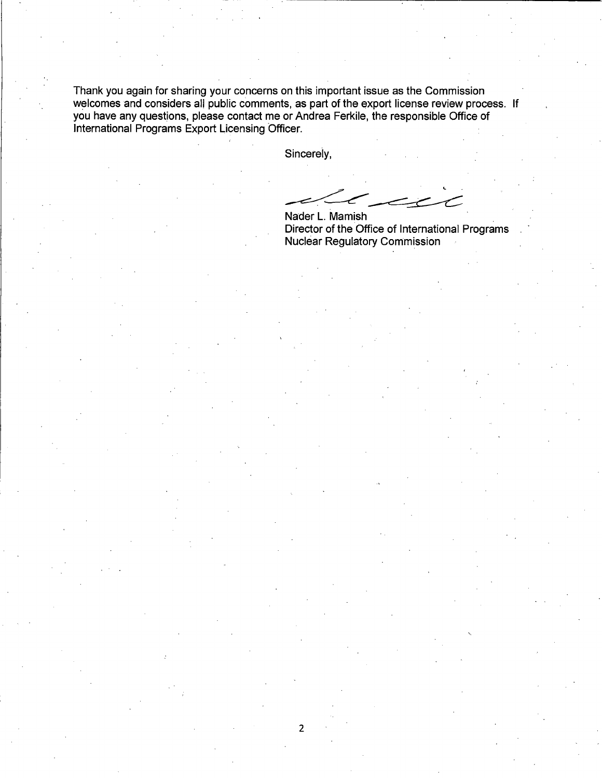Thank you again for sharing your concerns on this important issue as the Commission welcomes and considers all public comments, as part of the export license review process. If you have any questions, please contact me or Andrea Ferkile, the responsible Office of International Programs Export Licensing Officer.

Sincerely,

2

Nader | Mamish Nader L. Mamish

Director of the Office of International Programs Nuclear Regulatory Commission